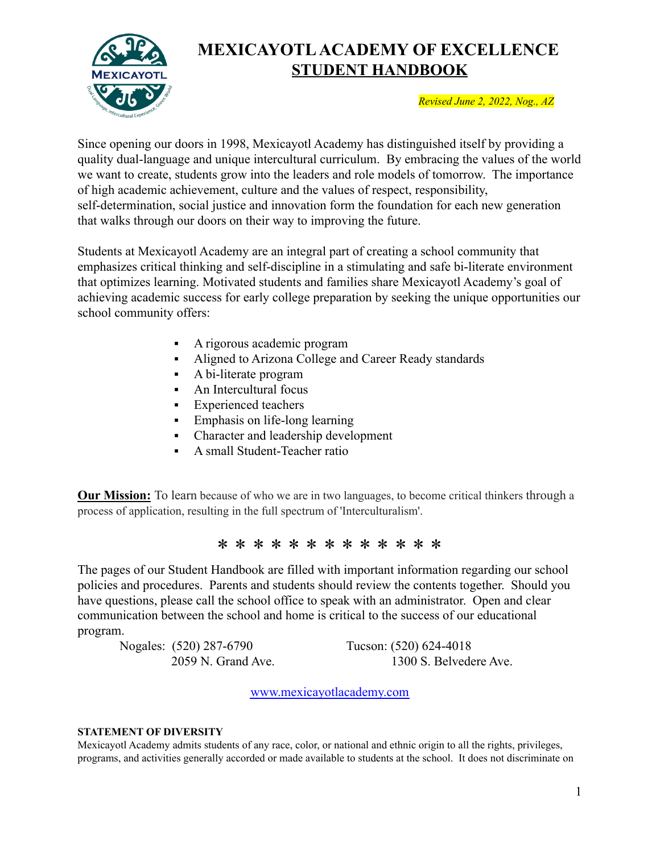

# **MEXICAYOTLACADEMY OF EXCELLENCE STUDENT HANDBOOK**

*Revised June 2, 2022, Nog., AZ*

Since opening our doors in 1998, Mexicayotl Academy has distinguished itself by providing a quality dual-language and unique intercultural curriculum. By embracing the values of the world we want to create, students grow into the leaders and role models of tomorrow. The importance of high academic achievement, culture and the values of respect, responsibility, self-determination, social justice and innovation form the foundation for each new generation that walks through our doors on their way to improving the future.

Students at Mexicayotl Academy are an integral part of creating a school community that emphasizes critical thinking and self-discipline in a stimulating and safe bi-literate environment that optimizes learning. Motivated students and families share Mexicayotl Academy's goal of achieving academic success for early college preparation by seeking the unique opportunities our school community offers:

- A rigorous academic program
- Aligned to Arizona College and Career Ready standards
- A bi-literate program
- An Intercultural focus
- Experienced teachers
- **Emphasis on life-long learning**
- Character and leadership development
- **•** A small Student-Teacher ratio

**Our Mission:** To learn because of who we are in two languages, to become critical thinkers through a process of application, resulting in the full spectrum of 'Interculturalism'.

# \* \* \* \* \* \* \* \* \* \* \* \* \*

The pages of our Student Handbook are filled with important information regarding our school policies and procedures. Parents and students should review the contents together. Should you have questions, please call the school office to speak with an administrator. Open and clear communication between the school and home is critical to the success of our educational program.

Nogales: (520) 287-6790 Tucson: (520) 624-4018

2059 N. Grand Ave. 1300 S. Belvedere Ave.

[www.mexicayotlacademy.com](http://www.mexicayotlacademy.com)

#### **STATEMENT OF DIVERSITY**

Mexicayotl Academy admits students of any race, color, or national and ethnic origin to all the rights, privileges, programs, and activities generally accorded or made available to students at the school. It does not discriminate on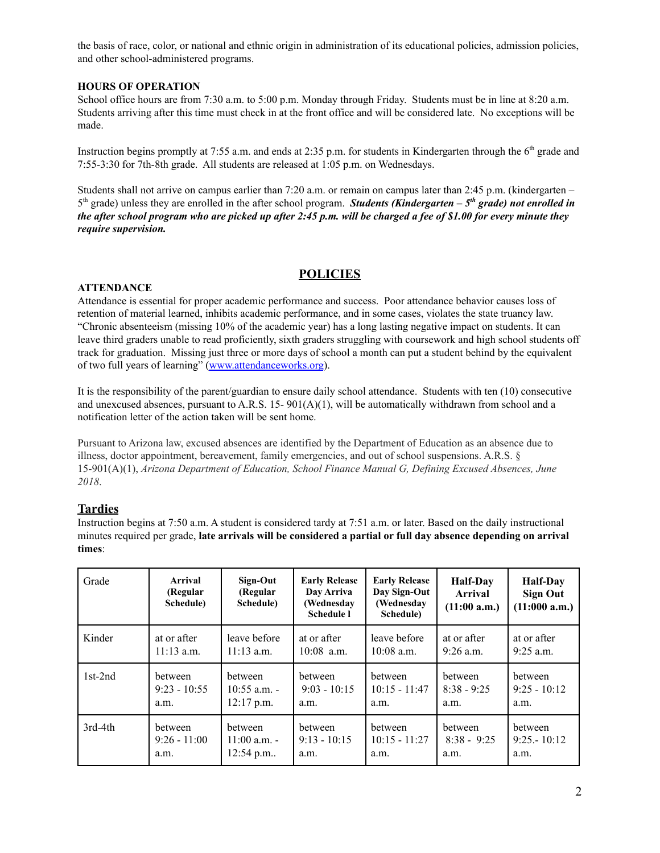the basis of race, color, or national and ethnic origin in administration of its educational policies, admission policies, and other school-administered programs.

#### **HOURS OF OPERATION**

School office hours are from 7:30 a.m. to 5:00 p.m. Monday through Friday. Students must be in line at 8:20 a.m. Students arriving after this time must check in at the front office and will be considered late. No exceptions will be made.

Instruction begins promptly at 7:55 a.m. and ends at 2:35 p.m. for students in Kindergarten through the  $6<sup>th</sup>$  grade and 7:55-3:30 for 7th-8th grade. All students are released at 1:05 p.m. on Wednesdays.

Students shall not arrive on campus earlier than 7:20 a.m. or remain on campus later than 2:45 p.m. (kindergarten – 5 th grade) unless they are enrolled in the after school program. *Students (Kindergarten – 5 th grade) not enrolled in* the after school program who are picked up after 2:45 p.m. will be charged a fee of \$1.00 for every minute they *require supervision.*

# **POLICIES**

#### **ATTENDANCE**

Attendance is essential for proper academic performance and success. Poor attendance behavior causes loss of retention of material learned, inhibits academic performance, and in some cases, violates the state truancy law. "Chronic absenteeism (missing 10% of the academic year) has a long lasting negative impact on students. It can leave third graders unable to read proficiently, sixth graders struggling with coursework and high school students off track for graduation. Missing just three or more days of school a month can put a student behind by the equivalent of two full years of learning" [\(www.attendanceworks.org](http://www.attendanceworks.org)).

It is the responsibility of the parent/guardian to ensure daily school attendance. Students with ten (10) consecutive and unexcused absences, pursuant to A.R.S. 15-  $901(A)(1)$ , will be automatically withdrawn from school and a notification letter of the action taken will be sent home.

Pursuant to Arizona law, excused absences are identified by the Department of Education as an absence due to illness, doctor appointment, bereavement, family emergencies, and out of school suspensions. A.R.S. § 15-901(A)(1), *Arizona Department of Education, School Finance Manual G, Defining Excused Absences, June 2018*.

### **Tardies**

Instruction begins at 7:50 a.m. A student is considered tardy at 7:51 a.m. or later. Based on the daily instructional minutes required per grade, **late arrivals will be considered a partial or full day absence depending on arrival times**:

| Grade     | Arrival<br>(Regular<br>Schedule) | Sign-Out<br>(Regular<br>Schedule) | <b>Early Release</b><br>Day Arriva<br>(Wednesday)<br><b>Schedule 1</b> | <b>Early Release</b><br>Day Sign-Out<br>(Wednesday<br>Schedule) | <b>Half-Day</b><br><b>Arrival</b><br>(11:00 a.m.) | <b>Half-Day</b><br><b>Sign Out</b><br>(11:000 a.m.) |
|-----------|----------------------------------|-----------------------------------|------------------------------------------------------------------------|-----------------------------------------------------------------|---------------------------------------------------|-----------------------------------------------------|
| Kinder    | at or after                      | leave before                      | at or after                                                            | leave before                                                    | at or after                                       | at or after                                         |
|           | $11:13$ a.m.                     | $11:13$ a.m.                      | $10:08$ a.m.                                                           | $10:08$ a.m.                                                    | $9:26$ a.m.                                       | $9:25$ a.m.                                         |
| $1st-2nd$ | between                          | between                           | between                                                                | between                                                         | between                                           | between                                             |
|           | $9:23 - 10:55$                   | $10:55$ a.m. -                    | $9:03 - 10:15$                                                         | $10:15 - 11:47$                                                 | $8:38 - 9:25$                                     | $9:25 - 10:12$                                      |
|           | a.m.                             | $12:17$ p.m.                      | a.m.                                                                   | a.m.                                                            | a.m.                                              | a.m.                                                |
| 3rd-4th   | between                          | between                           | between                                                                | between                                                         | between                                           | between                                             |
|           | $9:26 - 11:00$                   | $11:00$ a.m. -                    | $9:13 - 10:15$                                                         | $10:15 - 11:27$                                                 | $8:38 - 9:25$                                     | $9:25 - 10:12$                                      |
|           | a.m.                             | 12:54 p.m                         | a.m.                                                                   | a.m.                                                            | a.m.                                              | a.m.                                                |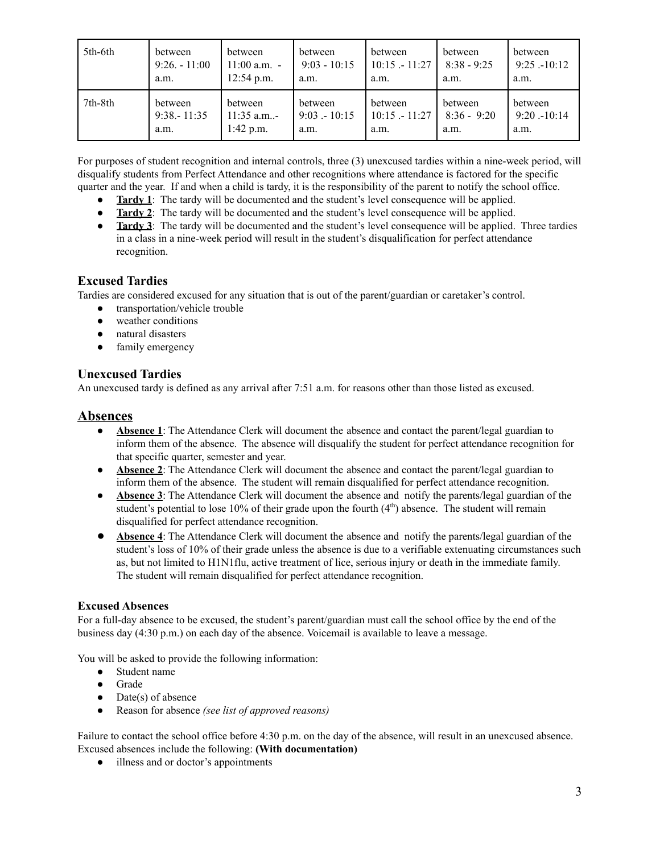| 5th-6th | between         | between        | between        | between         | between       | between        |
|---------|-----------------|----------------|----------------|-----------------|---------------|----------------|
|         | $9:26. - 11:00$ | $11:00$ a.m. - | $9:03 - 10:15$ | $10:15 - 11:27$ | $8:38 - 9:25$ | $9:25 - 10:12$ |
|         | a.m.            | $12:54$ p.m.   | a.m.           | a.m.            | a.m.          | a.m.           |
| 7th-8th | between         | between        | between        | between         | between       | between        |
|         | $9:38 - 11:35$  | $11:35$ a.m-   | $9:03 - 10:15$ | $10:15 - 11:27$ | $8:36 - 9:20$ | $9:20 - 10:14$ |
|         | a.m.            | $1:42$ p.m.    | a.m.           | a.m.            | a.m.          | a.m.           |

For purposes of student recognition and internal controls, three (3) unexcused tardies within a nine-week period, will disqualify students from Perfect Attendance and other recognitions where attendance is factored for the specific quarter and the year. If and when a child is tardy, it is the responsibility of the parent to notify the school office.

- **Tardy 1**: The tardy will be documented and the student's level consequence will be applied.
- **• Tardy** 2: The tardy will be documented and the student's level consequence will be applied.
- **Tardy 3**: The tardy will be documented and the student's level consequence will be applied. Three tardies in a class in a nine-week period will result in the student's disqualification for perfect attendance recognition.

# **Excused Tardies**

Tardies are considered excused for any situation that is out of the parent/guardian or caretaker's control.

- transportation/vehicle trouble
- weather conditions
- natural disasters
- family emergency

#### **Unexcused Tardies**

An unexcused tardy is defined as any arrival after 7:51 a.m. for reasons other than those listed as excused.

# **Absences**

- **Absence 1**: The Attendance Clerk will document the absence and contact the parent/legal guardian to inform them of the absence. The absence will disqualify the student for perfect attendance recognition for that specific quarter, semester and year.
- **Absence 2**: The Attendance Clerk will document the absence and contact the parent/legal guardian to inform them of the absence. The student will remain disqualified for perfect attendance recognition.
- **Absence 3**: The Attendance Clerk will document the absence and notify the parents/legal guardian of the student's potential to lose 10% of their grade upon the fourth  $(4<sup>th</sup>)$  absence. The student will remain disqualified for perfect attendance recognition.
- **Absence 4**: The Attendance Clerk will document the absence and notify the parents/legal guardian of the student's loss of 10% of their grade unless the absence is due to a verifiable extenuating circumstances such as, but not limited to H1N1flu, active treatment of lice, serious injury or death in the immediate family. The student will remain disqualified for perfect attendance recognition.

#### **Excused Absences**

For a full-day absence to be excused, the student's parent/guardian must call the school office by the end of the business day (4:30 p.m.) on each day of the absence. Voicemail is available to leave a message.

You will be asked to provide the following information:

- Student name
- Grade
- Date(s) of absence
- Reason for absence *(see list of approved reasons)*

Failure to contact the school office before 4:30 p.m. on the day of the absence, will result in an unexcused absence. Excused absences include the following: **(With documentation)**

• illness and or doctor's appointments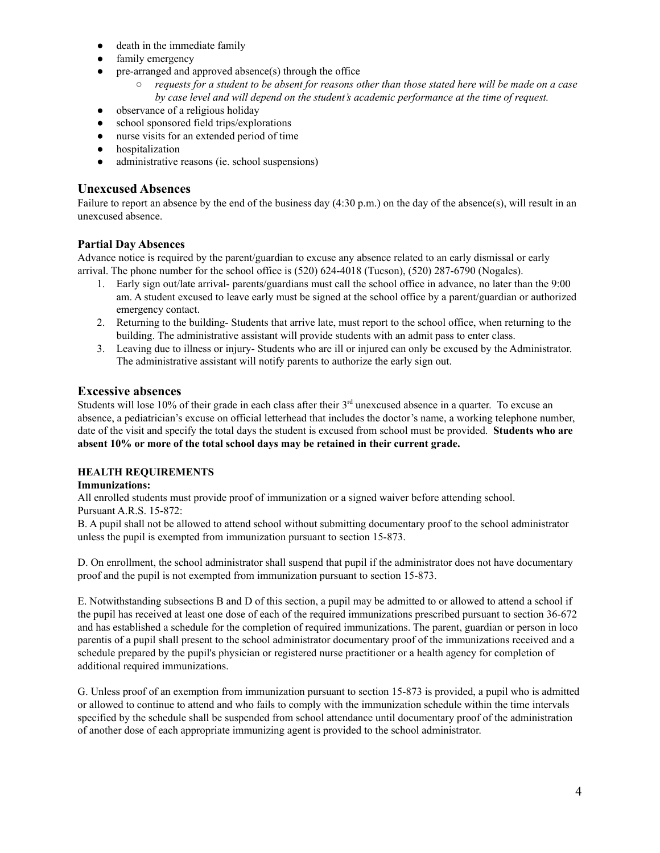- death in the immediate family
- family emergency
- pre-arranged and approved absence(s) through the office
	- $\circ$  requests for a student to be absent for reasons other than those stated here will be made on a case *by case level and will depend on the student's academic performance at the time of request.*
- observance of a religious holiday
- school sponsored field trips/explorations
- nurse visits for an extended period of time
- hospitalization
- administrative reasons (ie. school suspensions)

#### **Unexcused Absences**

Failure to report an absence by the end of the business day  $(4:30 \text{ p.m.})$  on the day of the absence(s), will result in an unexcused absence.

#### **Partial Day Absences**

Advance notice is required by the parent/guardian to excuse any absence related to an early dismissal or early arrival. The phone number for the school office is (520) 624-4018 (Tucson), (520) 287-6790 (Nogales).

- 1. Early sign out/late arrival- parents/guardians must call the school office in advance, no later than the 9:00 am. A student excused to leave early must be signed at the school office by a parent/guardian or authorized emergency contact.
- 2. Returning to the building- Students that arrive late, must report to the school office, when returning to the building. The administrative assistant will provide students with an admit pass to enter class.
- 3. Leaving due to illness or injury- Students who are ill or injured can only be excused by the Administrator. The administrative assistant will notify parents to authorize the early sign out.

#### **Excessive absences**

Students will lose 10% of their grade in each class after their  $3<sup>rd</sup>$  unexcused absence in a quarter. To excuse an absence, a pediatrician's excuse on official letterhead that includes the doctor's name, a working telephone number, date of the visit and specify the total days the student is excused from school must be provided. **Students who are absent 10% or more of the total school days may be retained in their current grade.**

#### **HEALTH REQUIREMENTS**

#### **Immunizations:**

All enrolled students must provide proof of immunization or a signed waiver before attending school. Pursuant A.R.S. 15-872:

B. A pupil shall not be allowed to attend school without submitting documentary proof to the school administrator unless the pupil is exempted from immunization pursuant to section 15-873.

D. On enrollment, the school administrator shall suspend that pupil if the administrator does not have documentary proof and the pupil is not exempted from immunization pursuant to section 15-873.

E. Notwithstanding subsections B and D of this section, a pupil may be admitted to or allowed to attend a school if the pupil has received at least one dose of each of the required immunizations prescribed pursuant to section 36-672 and has established a schedule for the completion of required immunizations. The parent, guardian or person in loco parentis of a pupil shall present to the school administrator documentary proof of the immunizations received and a schedule prepared by the pupil's physician or registered nurse practitioner or a health agency for completion of additional required immunizations.

G. Unless proof of an exemption from immunization pursuant to section 15-873 is provided, a pupil who is admitted or allowed to continue to attend and who fails to comply with the immunization schedule within the time intervals specified by the schedule shall be suspended from school attendance until documentary proof of the administration of another dose of each appropriate immunizing agent is provided to the school administrator.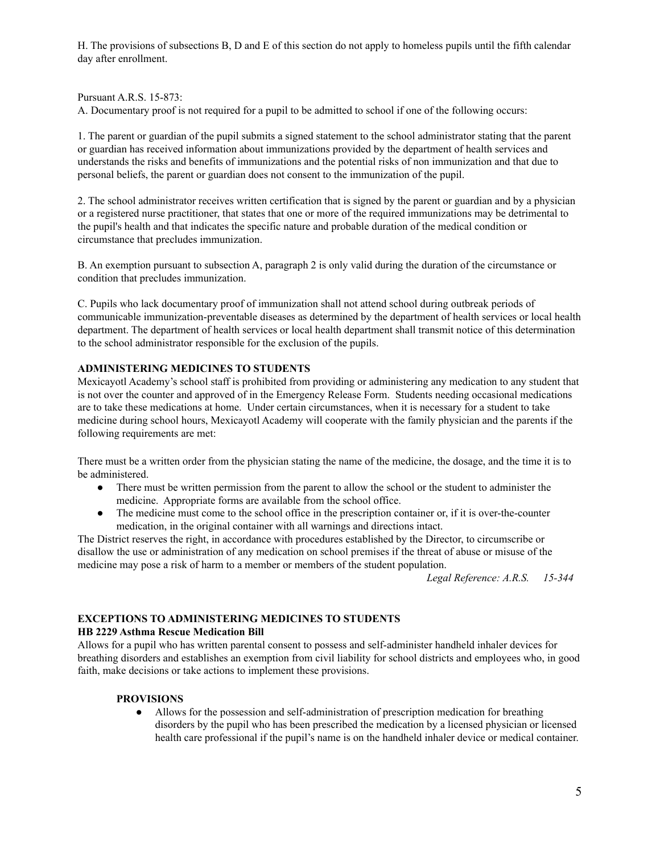H. The provisions of subsections B, D and E of this section do not apply to homeless pupils until the fifth calendar day after enrollment.

Pursuant A.R.S. 15-873:

A. Documentary proof is not required for a pupil to be admitted to school if one of the following occurs:

1. The parent or guardian of the pupil submits a signed statement to the school administrator stating that the parent or guardian has received information about immunizations provided by the department of health services and understands the risks and benefits of immunizations and the potential risks of non immunization and that due to personal beliefs, the parent or guardian does not consent to the immunization of the pupil.

2. The school administrator receives written certification that is signed by the parent or guardian and by a physician or a registered nurse practitioner, that states that one or more of the required immunizations may be detrimental to the pupil's health and that indicates the specific nature and probable duration of the medical condition or circumstance that precludes immunization.

B. An exemption pursuant to subsection A, paragraph 2 is only valid during the duration of the circumstance or condition that precludes immunization.

C. Pupils who lack documentary proof of immunization shall not attend school during outbreak periods of communicable immunization-preventable diseases as determined by the department of health services or local health department. The department of health services or local health department shall transmit notice of this determination to the school administrator responsible for the exclusion of the pupils.

#### **ADMINISTERING MEDICINES TO STUDENTS**

Mexicayotl Academy's school staff is prohibited from providing or administering any medication to any student that is not over the counter and approved of in the Emergency Release Form. Students needing occasional medications are to take these medications at home. Under certain circumstances, when it is necessary for a student to take medicine during school hours, Mexicayotl Academy will cooperate with the family physician and the parents if the following requirements are met:

There must be a written order from the physician stating the name of the medicine, the dosage, and the time it is to be administered.

- There must be written permission from the parent to allow the school or the student to administer the medicine. Appropriate forms are available from the school office.
- The medicine must come to the school office in the prescription container or, if it is over-the-counter medication, in the original container with all warnings and directions intact.

The District reserves the right, in accordance with procedures established by the Director, to circumscribe or disallow the use or administration of any medication on school premises if the threat of abuse or misuse of the medicine may pose a risk of harm to a member or members of the student population.

*Legal Reference: A.R.S. 15-344*

#### **EXCEPTIONS TO ADMINISTERING MEDICINES TO STUDENTS**

#### **HB 2229 Asthma Rescue Medication Bill**

Allows for a pupil who has written parental consent to possess and self-administer handheld inhaler devices for breathing disorders and establishes an exemption from civil liability for school districts and employees who, in good faith, make decisions or take actions to implement these provisions.

#### **PROVISIONS**

• Allows for the possession and self-administration of prescription medication for breathing disorders by the pupil who has been prescribed the medication by a licensed physician or licensed health care professional if the pupil's name is on the handheld inhaler device or medical container.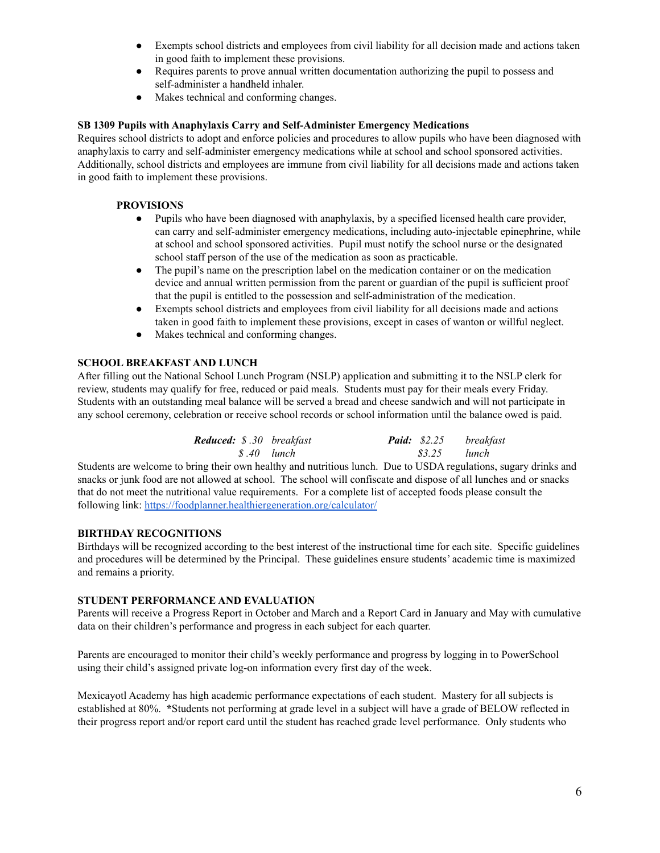- Exempts school districts and employees from civil liability for all decision made and actions taken in good faith to implement these provisions.
- Requires parents to prove annual written documentation authorizing the pupil to possess and self-administer a handheld inhaler.
- Makes technical and conforming changes.

#### **SB 1309 Pupils with Anaphylaxis Carry and Self-Administer Emergency Medications**

Requires school districts to adopt and enforce policies and procedures to allow pupils who have been diagnosed with anaphylaxis to carry and self-administer emergency medications while at school and school sponsored activities. Additionally, school districts and employees are immune from civil liability for all decisions made and actions taken in good faith to implement these provisions.

#### **PROVISIONS**

- Pupils who have been diagnosed with anaphylaxis, by a specified licensed health care provider, can carry and self-administer emergency medications, including auto-injectable epinephrine, while at school and school sponsored activities. Pupil must notify the school nurse or the designated school staff person of the use of the medication as soon as practicable.
- The pupil's name on the prescription label on the medication container or on the medication device and annual written permission from the parent or guardian of the pupil is sufficient proof that the pupil is entitled to the possession and self-administration of the medication.
- Exempts school districts and employees from civil liability for all decisions made and actions taken in good faith to implement these provisions, except in cases of wanton or willful neglect.
- Makes technical and conforming changes.

#### **SCHOOL BREAKFAST AND LUNCH**

After filling out the National School Lunch Program (NSLP) application and submitting it to the NSLP clerk for review, students may qualify for free, reduced or paid meals. Students must pay for their meals every Friday. Students with an outstanding meal balance will be served a bread and cheese sandwich and will not participate in any school ceremony, celebration or receive school records or school information until the balance owed is paid.

| <b>Reduced:</b> \$.30 breakfast | <b>Paid:</b> \$2.25 breakfast |  |
|---------------------------------|-------------------------------|--|
| \$.40 lunch                     | \$3.25 lunch                  |  |

Students are welcome to bring their own healthy and nutritious lunch. Due to USDA regulations, sugary drinks and snacks or junk food are not allowed at school. The school will confiscate and dispose of all lunches and or snacks that do not meet the nutritional value requirements. For a complete list of accepted foods please consult the following link: <https://foodplanner.healthiergeneration.org/calculator/>

#### **BIRTHDAY RECOGNITIONS**

Birthdays will be recognized according to the best interest of the instructional time for each site. Specific guidelines and procedures will be determined by the Principal. These guidelines ensure students' academic time is maximized and remains a priority.

#### **STUDENT PERFORMANCE AND EVALUATION**

Parents will receive a Progress Report in October and March and a Report Card in January and May with cumulative data on their children's performance and progress in each subject for each quarter.

Parents are encouraged to monitor their child's weekly performance and progress by logging in to PowerSchool using their child's assigned private log-on information every first day of the week.

Mexicayotl Academy has high academic performance expectations of each student. Mastery for all subjects is established at 80%. **\***Students not performing at grade level in a subject will have a grade of BELOW reflected in their progress report and/or report card until the student has reached grade level performance. Only students who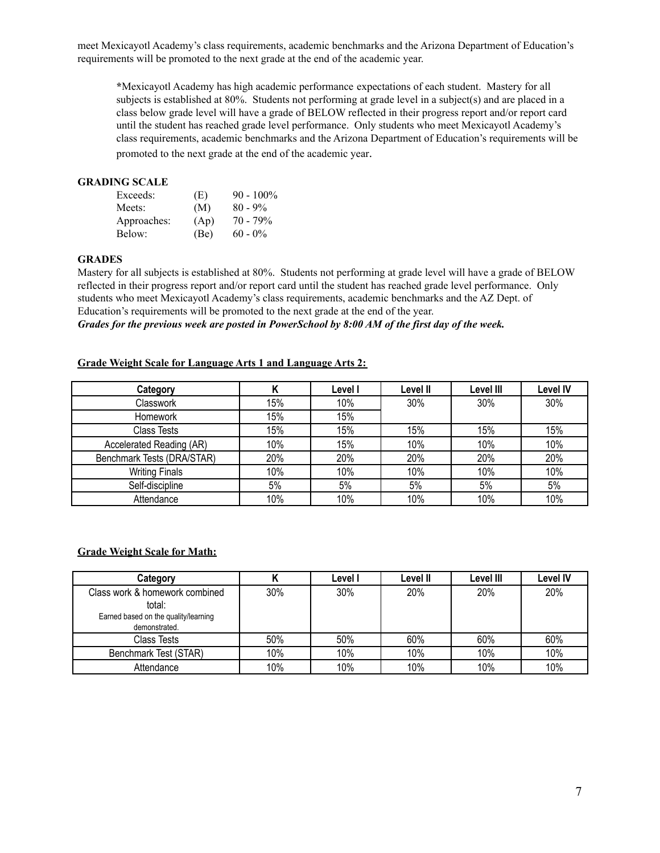meet Mexicayotl Academy's class requirements, academic benchmarks and the Arizona Department of Education's requirements will be promoted to the next grade at the end of the academic year.

**\***Mexicayotl Academy has high academic performance expectations of each student. Mastery for all subjects is established at 80%. Students not performing at grade level in a subject(s) and are placed in a class below grade level will have a grade of BELOW reflected in their progress report and/or report card until the student has reached grade level performance. Only students who meet Mexicayotl Academy's class requirements, academic benchmarks and the Arizona Department of Education's requirements will be promoted to the next grade at the end of the academic year.

#### **GRADING SCALE**

| Exceeds:    | (E)  | $90 - 100\%$ |
|-------------|------|--------------|
| Meets:      | (M)  | $80 - 9\%$   |
| Approaches: | (Ap) | $70 - 79\%$  |
| Below:      | (Be) | $60 - 0\%$   |

#### **GRADES**

Mastery for all subjects is established at 80%. Students not performing at grade level will have a grade of BELOW reflected in their progress report and/or report card until the student has reached grade level performance. Only students who meet Mexicayotl Academy's class requirements, academic benchmarks and the AZ Dept. of Education's requirements will be promoted to the next grade at the end of the year. Grades for the previous week are posted in PowerSchool by 8:00 AM of the first day of the week.

#### **Grade Weight Scale for Language Arts 1 and Language Arts 2:**

| Category                   |     | Level I | Level II | Level III | <b>Level IV</b> |
|----------------------------|-----|---------|----------|-----------|-----------------|
| Classwork                  | 15% | 10%     | 30%      | 30%       | 30%             |
| Homework                   | 15% | 15%     |          |           |                 |
| Class Tests                | 15% | 15%     | 15%      | 15%       | 15%             |
| Accelerated Reading (AR)   | 10% | 15%     | 10%      | 10%       | 10%             |
| Benchmark Tests (DRA/STAR) | 20% | 20%     | 20%      | 20%       | 20%             |
| <b>Writing Finals</b>      | 10% | 10%     | 10%      | 10%       | 10%             |
| Self-discipline            | 5%  | 5%      | 5%       | 5%        | 5%              |
| Attendance                 | 10% | 10%     | 10%      | 10%       | 10%             |

#### **Grade Weight Scale for Math:**

| Category                                                                                          |     | Level I | Level II | Level III | <b>Level IV</b> |
|---------------------------------------------------------------------------------------------------|-----|---------|----------|-----------|-----------------|
| Class work & homework combined<br>total:<br>Earned based on the quality/learning<br>demonstrated. | 30% | 30%     | 20%      | 20%       | 20%             |
| Class Tests                                                                                       | 50% | 50%     | 60%      | 60%       | 60%             |
| Benchmark Test (STAR)                                                                             | 10% | 10%     | 10%      | 10%       | 10%             |
| Attendance                                                                                        | 10% | 10%     | 10%      | 10%       | 10%             |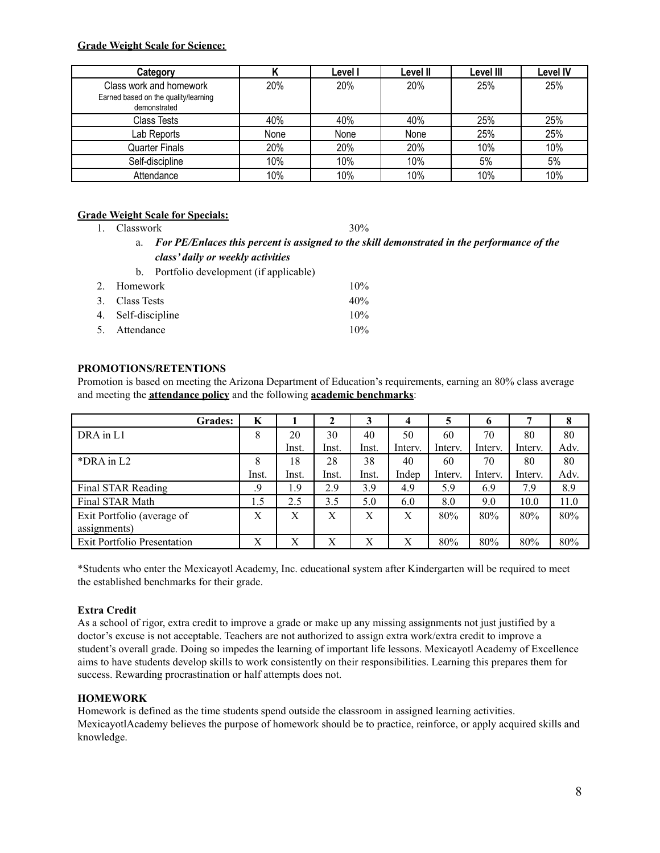#### **Grade Weight Scale for Science:**

| Category                                                                        |      | Level I | Level II | Level III | <b>Level IV</b> |
|---------------------------------------------------------------------------------|------|---------|----------|-----------|-----------------|
| Class work and homework<br>Earned based on the quality/learning<br>demonstrated | 20%  | 20%     | 20%      | 25%       | 25%             |
| <b>Class Tests</b>                                                              | 40%  | 40%     | 40%      | 25%       | 25%             |
| Lab Reports                                                                     | None | None    | None     | 25%       | 25%             |
| Quarter Finals                                                                  | 20%  | 20%     | 20%      | 10%       | 10%             |
| Self-discipline                                                                 | 10%  | 10%     | 10%      | 5%        | 5%              |
| Attendance                                                                      | 10%  | 10%     | 10%      | 10%       | 10%             |

#### **Grade Weight Scale for Specials:**

1. Classwork 30%

- a. *For PE/Enlaces this percent is assigned to the skill demonstrated in the performance of the class' daily or weekly activities*
- b. Portfolio development (if applicable)

| 2. Homework        | $10\%$ |
|--------------------|--------|
| 3. Class Tests     | $40\%$ |
| 4. Self-discipline | $10\%$ |
| 5. Attendance      | $10\%$ |

#### **PROMOTIONS/RETENTIONS**

Promotion is based on meeting the Arizona Department of Education's requirements, earning an 80% class average and meeting the **attendance policy** and the following **academic benchmarks**:

| <b>Grades:</b>                     | K     |       |       |       | 4       | 5       | o       |         | 8    |
|------------------------------------|-------|-------|-------|-------|---------|---------|---------|---------|------|
| DRA in L1                          | 8     | 20    | 30    | 40    | 50      | 60      | 70      | 80      | 80   |
|                                    |       | Inst. | Inst. | Inst. | Interv. | Interv. | Interv. | Interv. | Adv. |
| $*DRA$ in $L2$                     | 8     | 18    | 28    | 38    | 40      | 60      | 70      | 80      | 80   |
|                                    | Inst. | Inst. | Inst. | Inst. | Indep   | Interv. | Interv. | Interv. | Adv. |
| Final STAR Reading                 | .9    | 1.9   | 2.9   | 3.9   | 4.9     | 5.9     | 6.9     | 7.9     | 8.9  |
| Final STAR Math                    |       | 2.5   | 3.5   | 5.0   | 6.0     | 8.0     | 9.0     | 10.0    | 11.0 |
| Exit Portfolio (average of         | X     | X     | X     | X     | X       | 80%     | 80%     | 80%     | 80%  |
| assignments)                       |       |       |       |       |         |         |         |         |      |
| <b>Exit Portfolio Presentation</b> | X     | X     | X     | X     | Х       | 80%     | 80%     | 80%     | 80%  |

\*Students who enter the Mexicayotl Academy, Inc. educational system after Kindergarten will be required to meet the established benchmarks for their grade.

#### **Extra Credit**

As a school of rigor, extra credit to improve a grade or make up any missing assignments not just justified by a doctor's excuse is not acceptable. Teachers are not authorized to assign extra work/extra credit to improve a student's overall grade. Doing so impedes the learning of important life lessons. Mexicayotl Academy of Excellence aims to have students develop skills to work consistently on their responsibilities. Learning this prepares them for success. Rewarding procrastination or half attempts does not.

#### **HOMEWORK**

Homework is defined as the time students spend outside the classroom in assigned learning activities. MexicayotlAcademy believes the purpose of homework should be to practice, reinforce, or apply acquired skills and knowledge.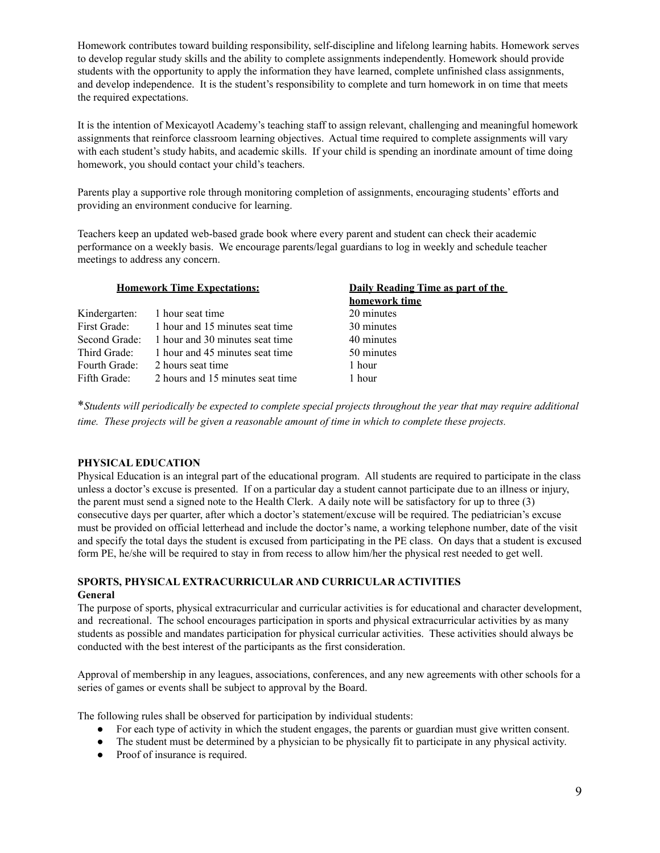Homework contributes toward building responsibility, self-discipline and lifelong learning habits. Homework serves to develop regular study skills and the ability to complete assignments independently. Homework should provide students with the opportunity to apply the information they have learned, complete unfinished class assignments, and develop independence. It is the student's responsibility to complete and turn homework in on time that meets the required expectations.

It is the intention of Mexicayotl Academy's teaching staff to assign relevant, challenging and meaningful homework assignments that reinforce classroom learning objectives. Actual time required to complete assignments will vary with each student's study habits, and academic skills. If your child is spending an inordinate amount of time doing homework, you should contact your child's teachers.

Parents play a supportive role through monitoring completion of assignments, encouraging students' efforts and providing an environment conducive for learning.

Teachers keep an updated web-based grade book where every parent and student can check their academic performance on a weekly basis. We encourage parents/legal guardians to log in weekly and schedule teacher meetings to address any concern.

| <b>Homework Time Expectations:</b> |                                               | Daily Reading Time as part of the |
|------------------------------------|-----------------------------------------------|-----------------------------------|
|                                    |                                               | homework time                     |
|                                    | Kindergarten: 1 hour seat time                | 20 minutes                        |
| First Grade:                       | 1 hour and 15 minutes seat time               | 30 minutes                        |
|                                    | Second Grade: 1 hour and 30 minutes seat time | 40 minutes                        |
| Third Grade:                       | 1 hour and 45 minutes seat time               | 50 minutes                        |
| Fourth Grade:                      | 2 hours seat time                             | 1 hour                            |
| Fifth Grade:                       | 2 hours and 15 minutes seat time              | 1 hour                            |
|                                    |                                               |                                   |

\*Students will periodically be expected to complete special projects throughout the year that may require additional *time. These projects will be given a reasonable amount of time in which to complete these projects.*

#### **PHYSICAL EDUCATION**

Physical Education is an integral part of the educational program. All students are required to participate in the class unless a doctor's excuse is presented. If on a particular day a student cannot participate due to an illness or injury, the parent must send a signed note to the Health Clerk. A daily note will be satisfactory for up to three (3) consecutive days per quarter, after which a doctor's statement/excuse will be required. The pediatrician's excuse must be provided on official letterhead and include the doctor's name, a working telephone number, date of the visit and specify the total days the student is excused from participating in the PE class. On days that a student is excused form PE, he/she will be required to stay in from recess to allow him/her the physical rest needed to get well.

#### **SPORTS, PHYSICAL EXTRACURRICULAR AND CURRICULAR ACTIVITIES General**

The purpose of sports, physical extracurricular and curricular activities is for educational and character development, and recreational. The school encourages participation in sports and physical extracurricular activities by as many students as possible and mandates participation for physical curricular activities. These activities should always be conducted with the best interest of the participants as the first consideration.

Approval of membership in any leagues, associations, conferences, and any new agreements with other schools for a series of games or events shall be subject to approval by the Board.

The following rules shall be observed for participation by individual students:

- For each type of activity in which the student engages, the parents or guardian must give written consent.
- The student must be determined by a physician to be physically fit to participate in any physical activity.
- Proof of insurance is required.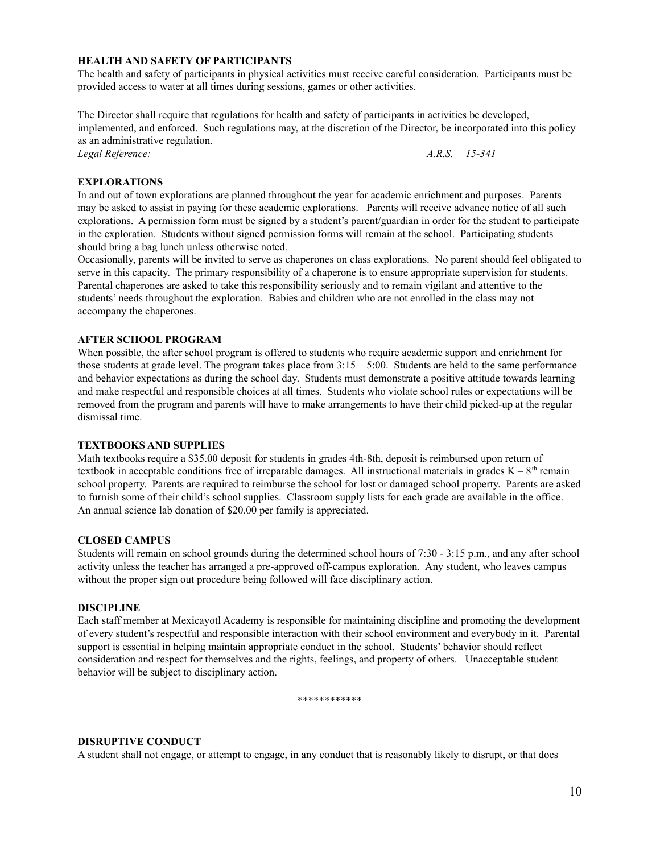#### **HEALTH AND SAFETY OF PARTICIPANTS**

The health and safety of participants in physical activities must receive careful consideration. Participants must be provided access to water at all times during sessions, games or other activities.

The Director shall require that regulations for health and safety of participants in activities be developed, implemented, and enforced. Such regulations may, at the discretion of the Director, be incorporated into this policy as an administrative regulation. *Legal Reference: A.R.S. 15-341*

#### **EXPLORATIONS**

In and out of town explorations are planned throughout the year for academic enrichment and purposes. Parents may be asked to assist in paying for these academic explorations. Parents will receive advance notice of all such explorations. A permission form must be signed by a student's parent/guardian in order for the student to participate in the exploration. Students without signed permission forms will remain at the school. Participating students should bring a bag lunch unless otherwise noted.

Occasionally, parents will be invited to serve as chaperones on class explorations. No parent should feel obligated to serve in this capacity. The primary responsibility of a chaperone is to ensure appropriate supervision for students. Parental chaperones are asked to take this responsibility seriously and to remain vigilant and attentive to the students' needs throughout the exploration. Babies and children who are not enrolled in the class may not accompany the chaperones.

#### **AFTER SCHOOL PROGRAM**

When possible, the after school program is offered to students who require academic support and enrichment for those students at grade level. The program takes place from  $3:15 - 5:00$ . Students are held to the same performance and behavior expectations as during the school day. Students must demonstrate a positive attitude towards learning and make respectful and responsible choices at all times. Students who violate school rules or expectations will be removed from the program and parents will have to make arrangements to have their child picked-up at the regular dismissal time.

#### **TEXTBOOKS AND SUPPLIES**

Math textbooks require a \$35.00 deposit for students in grades 4th-8th, deposit is reimbursed upon return of textbook in acceptable conditions free of irreparable damages. All instructional materials in grades  $K - 8<sup>th</sup>$  remain school property. Parents are required to reimburse the school for lost or damaged school property. Parents are asked to furnish some of their child's school supplies. Classroom supply lists for each grade are available in the office. An annual science lab donation of \$20.00 per family is appreciated.

#### **CLOSED CAMPUS**

Students will remain on school grounds during the determined school hours of 7:30 - 3:15 p.m., and any after school activity unless the teacher has arranged a pre-approved off-campus exploration. Any student, who leaves campus without the proper sign out procedure being followed will face disciplinary action.

#### **DISCIPLINE**

Each staff member at Mexicayotl Academy is responsible for maintaining discipline and promoting the development of every student's respectful and responsible interaction with their school environment and everybody in it. Parental support is essential in helping maintain appropriate conduct in the school. Students' behavior should reflect consideration and respect for themselves and the rights, feelings, and property of others. Unacceptable student behavior will be subject to disciplinary action.

\*\*\*\*\*\*\*\*\*\*\*\*

#### **DISRUPTIVE CONDUCT**

A student shall not engage, or attempt to engage, in any conduct that is reasonably likely to disrupt, or that does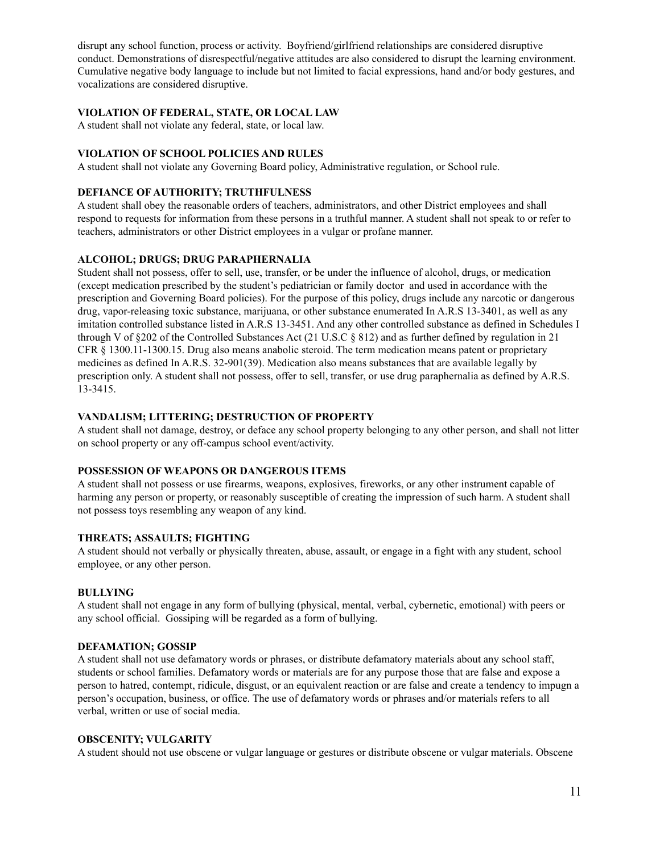disrupt any school function, process or activity. Boyfriend/girlfriend relationships are considered disruptive conduct. Demonstrations of disrespectful/negative attitudes are also considered to disrupt the learning environment. Cumulative negative body language to include but not limited to facial expressions, hand and/or body gestures, and vocalizations are considered disruptive.

#### **VIOLATION OF FEDERAL, STATE, OR LOCAL LAW**

A student shall not violate any federal, state, or local law.

#### **VIOLATION OF SCHOOL POLICIES AND RULES**

A student shall not violate any Governing Board policy, Administrative regulation, or School rule.

#### **DEFIANCE OF AUTHORITY; TRUTHFULNESS**

A student shall obey the reasonable orders of teachers, administrators, and other District employees and shall respond to requests for information from these persons in a truthful manner. A student shall not speak to or refer to teachers, administrators or other District employees in a vulgar or profane manner.

#### **ALCOHOL; DRUGS; DRUG PARAPHERNALIA**

Student shall not possess, offer to sell, use, transfer, or be under the influence of alcohol, drugs, or medication (except medication prescribed by the student's pediatrician or family doctor and used in accordance with the prescription and Governing Board policies). For the purpose of this policy, drugs include any narcotic or dangerous drug, vapor-releasing toxic substance, marijuana, or other substance enumerated In A.R.S 13-3401, as well as any imitation controlled substance listed in A.R.S 13-3451. And any other controlled substance as defined in Schedules I through V of §202 of the Controlled Substances Act (21 U.S.C § 812) and as further defined by regulation in 21 CFR § 1300.11-1300.15. Drug also means anabolic steroid. The term medication means patent or proprietary medicines as defined In A.R.S. 32-901(39). Medication also means substances that are available legally by prescription only. A student shall not possess, offer to sell, transfer, or use drug paraphernalia as defined by A.R.S. 13-3415.

#### **VANDALISM; LITTERING; DESTRUCTION OF PROPERTY**

A student shall not damage, destroy, or deface any school property belonging to any other person, and shall not litter on school property or any off-campus school event/activity.

#### **POSSESSION OF WEAPONS OR DANGEROUS ITEMS**

A student shall not possess or use firearms, weapons, explosives, fireworks, or any other instrument capable of harming any person or property, or reasonably susceptible of creating the impression of such harm. A student shall not possess toys resembling any weapon of any kind.

#### **THREATS; ASSAULTS; FIGHTING**

A student should not verbally or physically threaten, abuse, assault, or engage in a fight with any student, school employee, or any other person.

#### **BULLYING**

A student shall not engage in any form of bullying (physical, mental, verbal, cybernetic, emotional) with peers or any school official. Gossiping will be regarded as a form of bullying.

#### **DEFAMATION; GOSSIP**

A student shall not use defamatory words or phrases, or distribute defamatory materials about any school staff, students or school families. Defamatory words or materials are for any purpose those that are false and expose a person to hatred, contempt, ridicule, disgust, or an equivalent reaction or are false and create a tendency to impugn a person's occupation, business, or office. The use of defamatory words or phrases and/or materials refers to all verbal, written or use of social media.

#### **OBSCENITY; VULGARITY**

A student should not use obscene or vulgar language or gestures or distribute obscene or vulgar materials. Obscene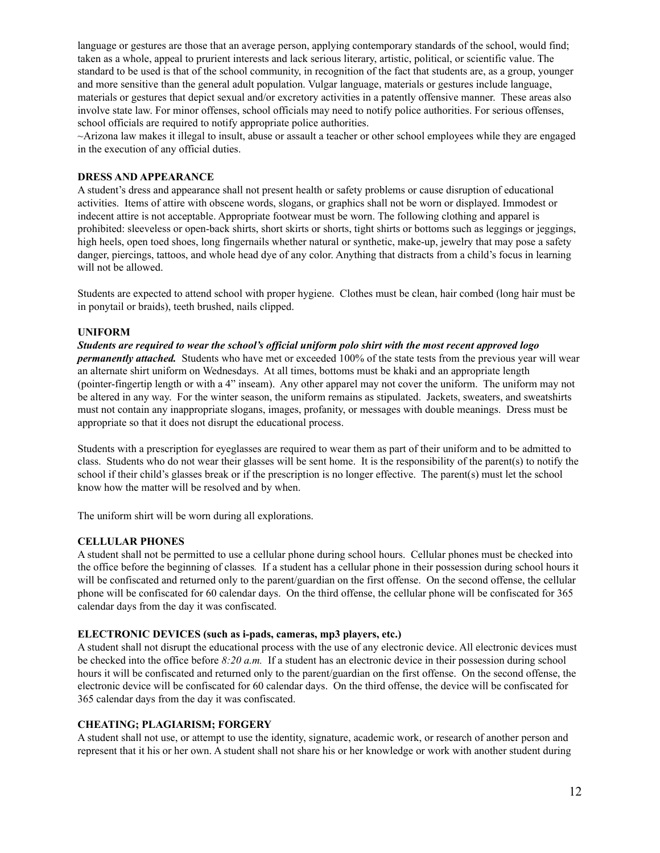language or gestures are those that an average person, applying contemporary standards of the school, would find; taken as a whole, appeal to prurient interests and lack serious literary, artistic, political, or scientific value. The standard to be used is that of the school community, in recognition of the fact that students are, as a group, younger and more sensitive than the general adult population. Vulgar language, materials or gestures include language, materials or gestures that depict sexual and/or excretory activities in a patently offensive manner. These areas also involve state law. For minor offenses, school officials may need to notify police authorities. For serious offenses, school officials are required to notify appropriate police authorities.

~Arizona law makes it illegal to insult, abuse or assault a teacher or other school employees while they are engaged in the execution of any official duties.

#### **DRESS AND APPEARANCE**

A student's dress and appearance shall not present health or safety problems or cause disruption of educational activities. Items of attire with obscene words, slogans, or graphics shall not be worn or displayed. Immodest or indecent attire is not acceptable. Appropriate footwear must be worn. The following clothing and apparel is prohibited: sleeveless or open-back shirts, short skirts or shorts, tight shirts or bottoms such as leggings or jeggings, high heels, open toed shoes, long fingernails whether natural or synthetic, make-up, jewelry that may pose a safety danger, piercings, tattoos, and whole head dye of any color. Anything that distracts from a child's focus in learning will not be allowed.

Students are expected to attend school with proper hygiene. Clothes must be clean, hair combed (long hair must be in ponytail or braids), teeth brushed, nails clipped.

#### **UNIFORM**

Students are required to wear the school's official uniform polo shirt with the most recent approved logo *permanently attached.* Students who have met or exceeded 100% of the state tests from the previous year will wear an alternate shirt uniform on Wednesdays. At all times, bottoms must be khaki and an appropriate length (pointer-fingertip length or with a 4" inseam). Any other apparel may not cover the uniform. The uniform may not be altered in any way. For the winter season, the uniform remains as stipulated. Jackets, sweaters, and sweatshirts must not contain any inappropriate slogans, images, profanity, or messages with double meanings. Dress must be appropriate so that it does not disrupt the educational process.

Students with a prescription for eyeglasses are required to wear them as part of their uniform and to be admitted to class. Students who do not wear their glasses will be sent home. It is the responsibility of the parent(s) to notify the school if their child's glasses break or if the prescription is no longer effective. The parent(s) must let the school know how the matter will be resolved and by when.

The uniform shirt will be worn during all explorations.

#### **CELLULAR PHONES**

A student shall not be permitted to use a cellular phone during school hours. Cellular phones must be checked into the office before the beginning of classes*.* If a student has a cellular phone in their possession during school hours it will be confiscated and returned only to the parent/guardian on the first offense. On the second offense, the cellular phone will be confiscated for 60 calendar days. On the third offense, the cellular phone will be confiscated for 365 calendar days from the day it was confiscated.

#### **ELECTRONIC DEVICES (such as i-pads, cameras, mp3 players, etc.)**

A student shall not disrupt the educational process with the use of any electronic device. All electronic devices must be checked into the office before *8:20 a.m.* If a student has an electronic device in their possession during school hours it will be confiscated and returned only to the parent/guardian on the first offense. On the second offense, the electronic device will be confiscated for 60 calendar days. On the third offense, the device will be confiscated for 365 calendar days from the day it was confiscated.

#### **CHEATING; PLAGIARISM; FORGERY**

A student shall not use, or attempt to use the identity, signature, academic work, or research of another person and represent that it his or her own. A student shall not share his or her knowledge or work with another student during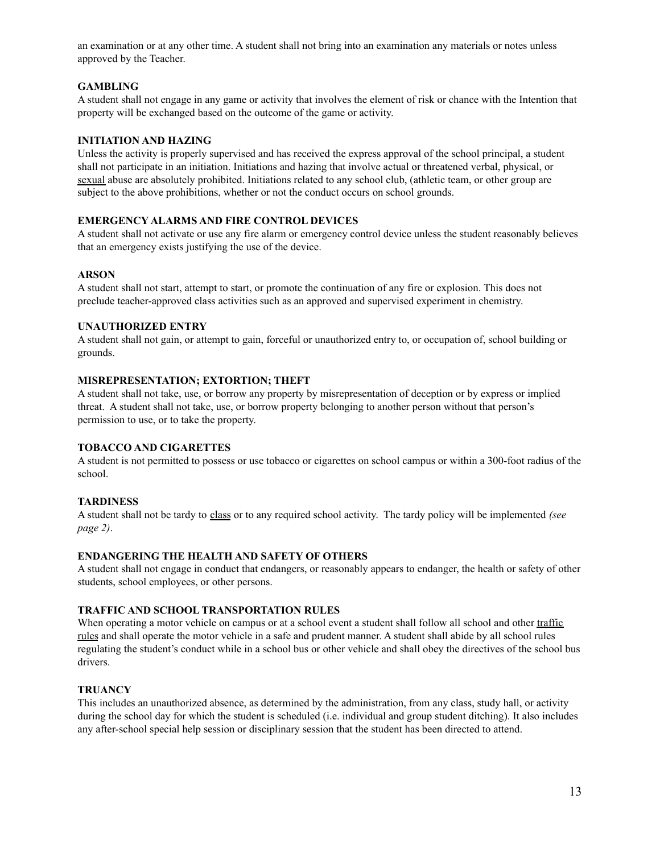an examination or at any other time. A student shall not bring into an examination any materials or notes unless approved by the Teacher.

#### **GAMBLING**

A student shall not engage in any game or activity that involves the element of risk or chance with the Intention that property will be exchanged based on the outcome of the game or activity.

#### **INITIATION AND HAZING**

Unless the activity is properly supervised and has received the express approval of the school principal, a student shall not participate in an initiation. Initiations and hazing that involve actual or threatened verbal, physical, or sexual abuse are absolutely prohibited. Initiations related to any school club, (athletic team, or other group are subject to the above prohibitions, whether or not the conduct occurs on school grounds.

#### **EMERGENCY ALARMS AND FIRE CONTROL DEVICES**

A student shall not activate or use any fire alarm or emergency control device unless the student reasonably believes that an emergency exists justifying the use of the device.

#### **ARSON**

A student shall not start, attempt to start, or promote the continuation of any fire or explosion. This does not preclude teacher-approved class activities such as an approved and supervised experiment in chemistry.

#### **UNAUTHORIZED ENTRY**

A student shall not gain, or attempt to gain, forceful or unauthorized entry to, or occupation of, school building or grounds.

#### **MISREPRESENTATION; EXTORTION; THEFT**

A student shall not take, use, or borrow any property by misrepresentation of deception or by express or implied threat. A student shall not take, use, or borrow property belonging to another person without that person's permission to use, or to take the property.

#### **TOBACCO AND CIGARETTES**

A student is not permitted to possess or use tobacco or cigarettes on school campus or within a 300-foot radius of the school.

#### **TARDINESS**

A student shall not be tardy to class or to any required school activity. The tardy policy will be implemented *(see page 2)*.

#### **ENDANGERING THE HEALTH AND SAFETY OF OTHERS**

A student shall not engage in conduct that endangers, or reasonably appears to endanger, the health or safety of other students, school employees, or other persons.

#### **TRAFFIC AND SCHOOL TRANSPORTATION RULES**

When operating a motor vehicle on campus or at a school event a student shall follow all school and other traffic rules and shall operate the motor vehicle in a safe and prudent manner. A student shall abide by all school rules regulating the student's conduct while in a school bus or other vehicle and shall obey the directives of the school bus drivers.

#### **TRUANCY**

This includes an unauthorized absence, as determined by the administration, from any class, study hall, or activity during the school day for which the student is scheduled (i.e. individual and group student ditching). It also includes any after-school special help session or disciplinary session that the student has been directed to attend.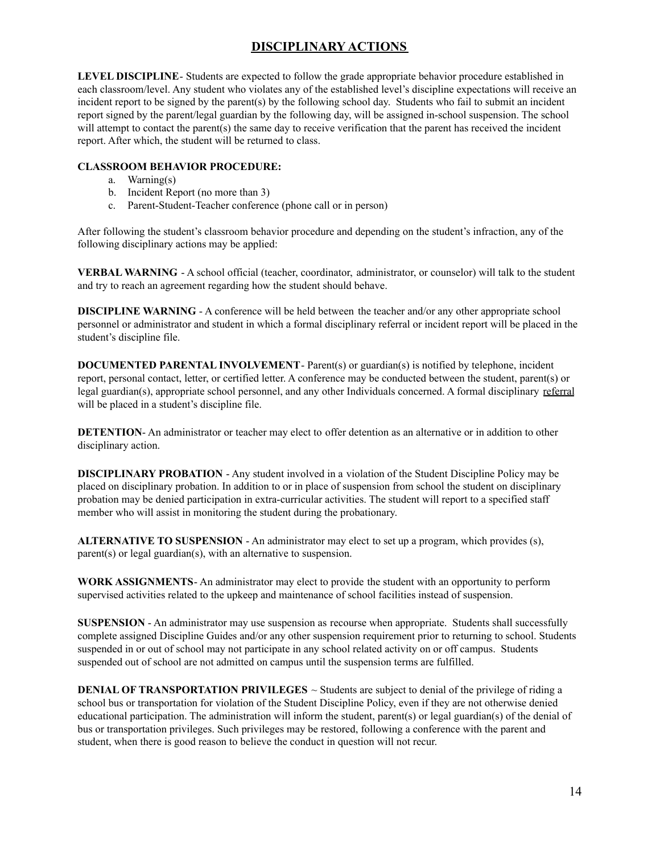# **DISCIPLINARY ACTIONS**

**LEVEL DISCIPLINE**- Students are expected to follow the grade appropriate behavior procedure established in each classroom/level. Any student who violates any of the established level's discipline expectations will receive an incident report to be signed by the parent(s) by the following school day. Students who fail to submit an incident report signed by the parent/legal guardian by the following day, will be assigned in-school suspension. The school will attempt to contact the parent(s) the same day to receive verification that the parent has received the incident report. After which, the student will be returned to class.

#### **CLASSROOM BEHAVIOR PROCEDURE:**

- a. Warning(s)
- b. Incident Report (no more than 3)
- c. Parent-Student-Teacher conference (phone call or in person)

After following the student's classroom behavior procedure and depending on the student's infraction, any of the following disciplinary actions may be applied:

**VERBAL WARNING** - A school official (teacher, coordinator, administrator, or counselor) will talk to the student and try to reach an agreement regarding how the student should behave.

**DISCIPLINE WARNING** - A conference will be held between the teacher and/or any other appropriate school personnel or administrator and student in which a formal disciplinary referral or incident report will be placed in the student's discipline file.

**DOCUMENTED PARENTAL INVOLVEMENT**- Parent(s) or guardian(s) is notified by telephone, incident report, personal contact, letter, or certified letter. A conference may be conducted between the student, parent(s) or legal guardian(s), appropriate school personnel, and any other Individuals concerned. A formal disciplinary referral will be placed in a student's discipline file.

**DETENTION-** An administrator or teacher may elect to offer detention as an alternative or in addition to other disciplinary action.

**DISCIPLINARY PROBATION** - Any student involved in a violation of the Student Discipline Policy may be placed on disciplinary probation. In addition to or in place of suspension from school the student on disciplinary probation may be denied participation in extra-curricular activities. The student will report to a specified staff member who will assist in monitoring the student during the probationary.

**ALTERNATIVE TO SUSPENSION** - An administrator may elect to set up a program, which provides (s), parent(s) or legal guardian(s), with an alternative to suspension.

**WORK ASSIGNMENTS**- An administrator may elect to provide the student with an opportunity to perform supervised activities related to the upkeep and maintenance of school facilities instead of suspension.

**SUSPENSION** - An administrator may use suspension as recourse when appropriate. Students shall successfully complete assigned Discipline Guides and/or any other suspension requirement prior to returning to school. Students suspended in or out of school may not participate in any school related activity on or off campus. Students suspended out of school are not admitted on campus until the suspension terms are fulfilled.

**DENIAL OF <b>TRANSPORTATION** PRIVILEGES  $\sim$  Students are subject to denial of the privilege of riding a school bus or transportation for violation of the Student Discipline Policy, even if they are not otherwise denied educational participation. The administration will inform the student, parent(s) or legal guardian(s) of the denial of bus or transportation privileges. Such privileges may be restored, following a conference with the parent and student, when there is good reason to believe the conduct in question will not recur.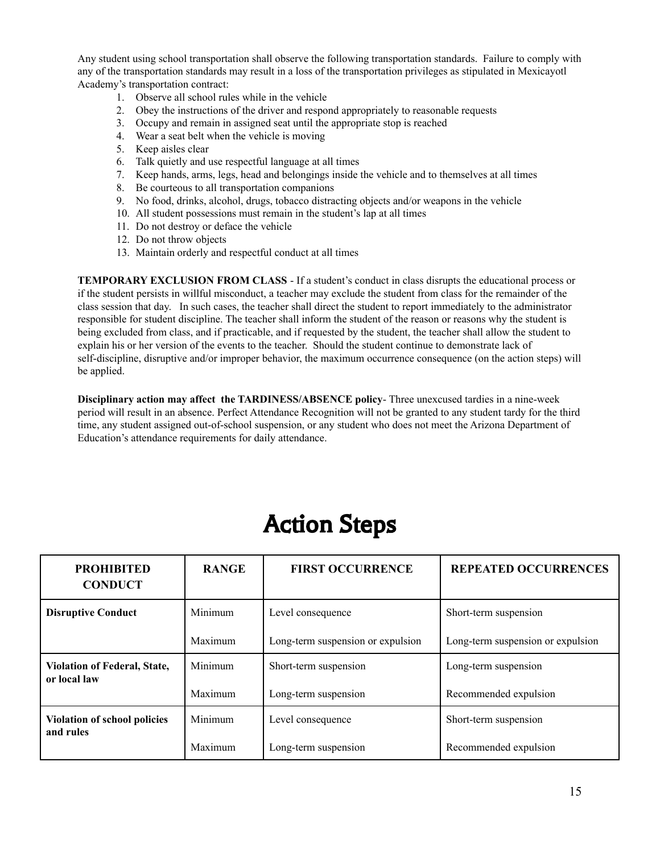Any student using school transportation shall observe the following transportation standards. Failure to comply with any of the transportation standards may result in a loss of the transportation privileges as stipulated in Mexicayotl Academy's transportation contract:

- 1. Observe all school rules while in the vehicle
- 2. Obey the instructions of the driver and respond appropriately to reasonable requests
- 3. Occupy and remain in assigned seat until the appropriate stop is reached
- 4. Wear a seat belt when the vehicle is moving
- 5. Keep aisles clear
- 6. Talk quietly and use respectful language at all times
- 7. Keep hands, arms, legs, head and belongings inside the vehicle and to themselves at all times
- 8. Be courteous to all transportation companions
- 9. No food, drinks, alcohol, drugs, tobacco distracting objects and/or weapons in the vehicle
- 10. All student possessions must remain in the student's lap at all times
- 11. Do not destroy or deface the vehicle
- 12. Do not throw objects
- 13. Maintain orderly and respectful conduct at all times

**TEMPORARY EXCLUSION FROM CLASS** - If a student's conduct in class disrupts the educational process or if the student persists in willful misconduct, a teacher may exclude the student from class for the remainder of the class session that day. In such cases, the teacher shall direct the student to report immediately to the administrator responsible for student discipline. The teacher shall inform the student of the reason or reasons why the student is being excluded from class, and if practicable, and if requested by the student, the teacher shall allow the student to explain his or her version of the events to the teacher. Should the student continue to demonstrate lack of self-discipline, disruptive and/or improper behavior, the maximum occurrence consequence (on the action steps) will be applied.

**Disciplinary action may affect the TARDINESS/ABSENCE policy**- Three unexcused tardies in a nine-week period will result in an absence. Perfect Attendance Recognition will not be granted to any student tardy for the third time, any student assigned out-of-school suspension, or any student who does not meet the Arizona Department of Education's attendance requirements for daily attendance.

# Action Steps

| <b>PROHIBITED</b><br><b>CONDUCT</b>                 | <b>RANGE</b> | <b>FIRST OCCURRENCE</b>           | <b>REPEATED OCCURRENCES</b>       |
|-----------------------------------------------------|--------------|-----------------------------------|-----------------------------------|
| <b>Disruptive Conduct</b>                           | Minimum      | Level consequence                 | Short-term suspension             |
|                                                     | Maximum      | Long-term suspension or expulsion | Long-term suspension or expulsion |
| <b>Violation of Federal, State,</b><br>or local law | Minimum      | Short-term suspension             | Long-term suspension              |
|                                                     | Maximum      | Long-term suspension              | Recommended expulsion             |
| <b>Violation of school policies</b><br>and rules    | Minimum      | Level consequence                 | Short-term suspension             |
|                                                     | Maximum      | Long-term suspension              | Recommended expulsion             |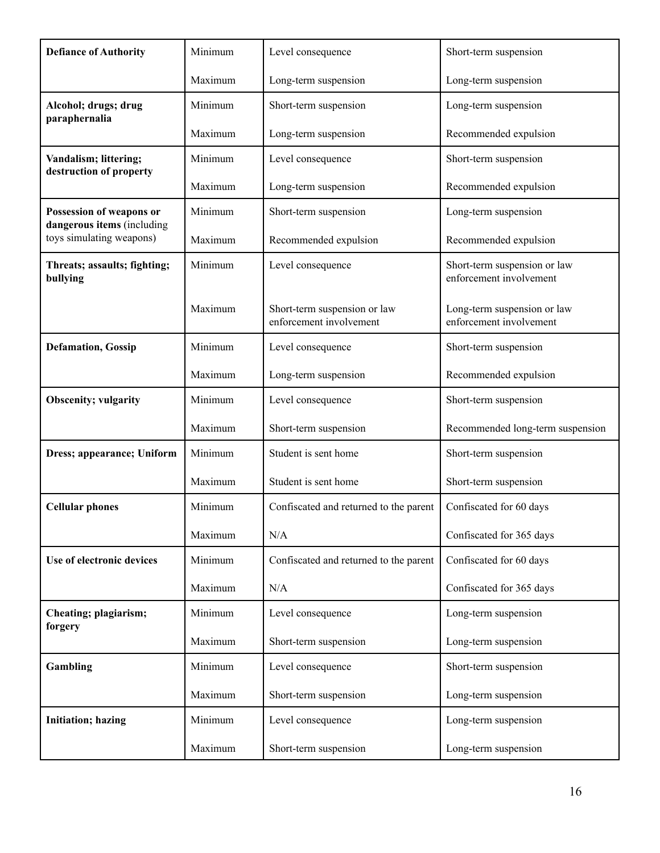| <b>Defiance of Authority</b>                           | Minimum | Level consequence                                       | Short-term suspension                                   |
|--------------------------------------------------------|---------|---------------------------------------------------------|---------------------------------------------------------|
|                                                        | Maximum | Long-term suspension                                    | Long-term suspension                                    |
| Alcohol; drugs; drug<br>paraphernalia                  | Minimum | Short-term suspension                                   | Long-term suspension                                    |
|                                                        | Maximum | Long-term suspension                                    | Recommended expulsion                                   |
| Vandalism; littering;<br>destruction of property       | Minimum | Level consequence                                       | Short-term suspension                                   |
|                                                        | Maximum | Long-term suspension                                    | Recommended expulsion                                   |
| Possession of weapons or<br>dangerous items (including | Minimum | Short-term suspension                                   | Long-term suspension                                    |
| toys simulating weapons)                               | Maximum | Recommended expulsion                                   | Recommended expulsion                                   |
| Threats; assaults; fighting;<br>bullying               | Minimum | Level consequence                                       | Short-term suspension or law<br>enforcement involvement |
|                                                        | Maximum | Short-term suspension or law<br>enforcement involvement | Long-term suspension or law<br>enforcement involvement  |
| <b>Defamation</b> , Gossip                             | Minimum | Level consequence                                       | Short-term suspension                                   |
|                                                        | Maximum | Long-term suspension                                    | Recommended expulsion                                   |
| <b>Obscenity; vulgarity</b>                            | Minimum | Level consequence                                       | Short-term suspension                                   |
|                                                        | Maximum | Short-term suspension                                   | Recommended long-term suspension                        |
| Dress; appearance; Uniform                             | Minimum | Student is sent home                                    | Short-term suspension                                   |
|                                                        | Maximum | Student is sent home                                    | Short-term suspension                                   |
| <b>Cellular phones</b>                                 | Minimum | Confiscated and returned to the parent                  | Confiscated for 60 days                                 |
|                                                        | Maximum | N/A                                                     | Confiscated for 365 days                                |
| Use of electronic devices                              | Minimum | Confiscated and returned to the parent                  | Confiscated for 60 days                                 |
|                                                        | Maximum | N/A                                                     | Confiscated for 365 days                                |
| Cheating; plagiarism;<br>forgery                       | Minimum | Level consequence                                       | Long-term suspension                                    |
|                                                        | Maximum | Short-term suspension                                   | Long-term suspension                                    |
| Gambling                                               | Minimum | Level consequence                                       | Short-term suspension                                   |
|                                                        | Maximum | Short-term suspension                                   | Long-term suspension                                    |
| <b>Initiation; hazing</b>                              | Minimum | Level consequence                                       | Long-term suspension                                    |
|                                                        | Maximum | Short-term suspension                                   | Long-term suspension                                    |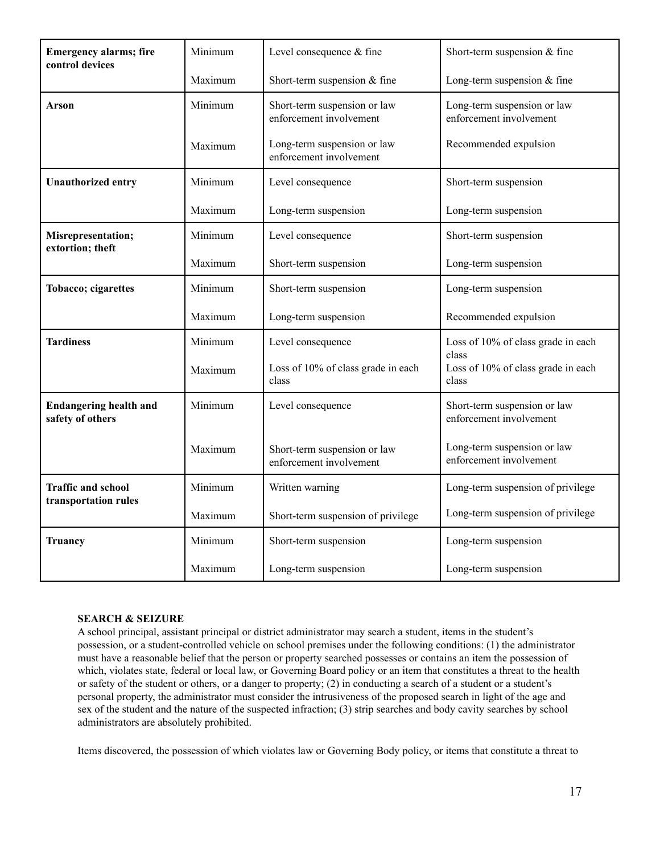| <b>Emergency alarms; fire</b><br>control devices  | Minimum | Level consequence & fine                                | Short-term suspension & fine                            |
|---------------------------------------------------|---------|---------------------------------------------------------|---------------------------------------------------------|
|                                                   | Maximum | Short-term suspension & fine                            | Long-term suspension $&$ fine                           |
| Arson                                             | Minimum | Short-term suspension or law<br>enforcement involvement | Long-term suspension or law<br>enforcement involvement  |
|                                                   | Maximum | Long-term suspension or law<br>enforcement involvement  | Recommended expulsion                                   |
| <b>Unauthorized entry</b>                         | Minimum | Level consequence                                       | Short-term suspension                                   |
|                                                   | Maximum | Long-term suspension                                    | Long-term suspension                                    |
| Misrepresentation;<br>extortion; theft            | Minimum | Level consequence                                       | Short-term suspension                                   |
|                                                   | Maximum | Short-term suspension                                   | Long-term suspension                                    |
| Tobacco; cigarettes                               | Minimum | Short-term suspension                                   | Long-term suspension                                    |
|                                                   | Maximum | Long-term suspension                                    | Recommended expulsion                                   |
| <b>Tardiness</b>                                  | Minimum | Level consequence                                       | Loss of 10% of class grade in each                      |
|                                                   | Maximum | Loss of 10% of class grade in each<br>class             | class<br>Loss of 10% of class grade in each<br>class    |
| <b>Endangering health and</b><br>safety of others | Minimum | Level consequence                                       | Short-term suspension or law<br>enforcement involvement |
|                                                   | Maximum | Short-term suspension or law<br>enforcement involvement | Long-term suspension or law<br>enforcement involvement  |
| <b>Traffic and school</b>                         | Minimum | Written warning                                         | Long-term suspension of privilege                       |
| transportation rules                              | Maximum | Short-term suspension of privilege                      | Long-term suspension of privilege                       |
| <b>Truancy</b>                                    | Minimum | Short-term suspension                                   | Long-term suspension                                    |
|                                                   | Maximum | Long-term suspension                                    | Long-term suspension                                    |

#### **SEARCH & SEIZURE**

A school principal, assistant principal or district administrator may search a student, items in the student's possession, or a student-controlled vehicle on school premises under the following conditions: (1) the administrator must have a reasonable belief that the person or property searched possesses or contains an item the possession of which, violates state, federal or local law, or Governing Board policy or an item that constitutes a threat to the health or safety of the student or others, or a danger to property; (2) in conducting a search of a student or a student's personal property, the administrator must consider the intrusiveness of the proposed search in light of the age and sex of the student and the nature of the suspected infraction; (3) strip searches and body cavity searches by school administrators are absolutely prohibited.

Items discovered, the possession of which violates law or Governing Body policy, or items that constitute a threat to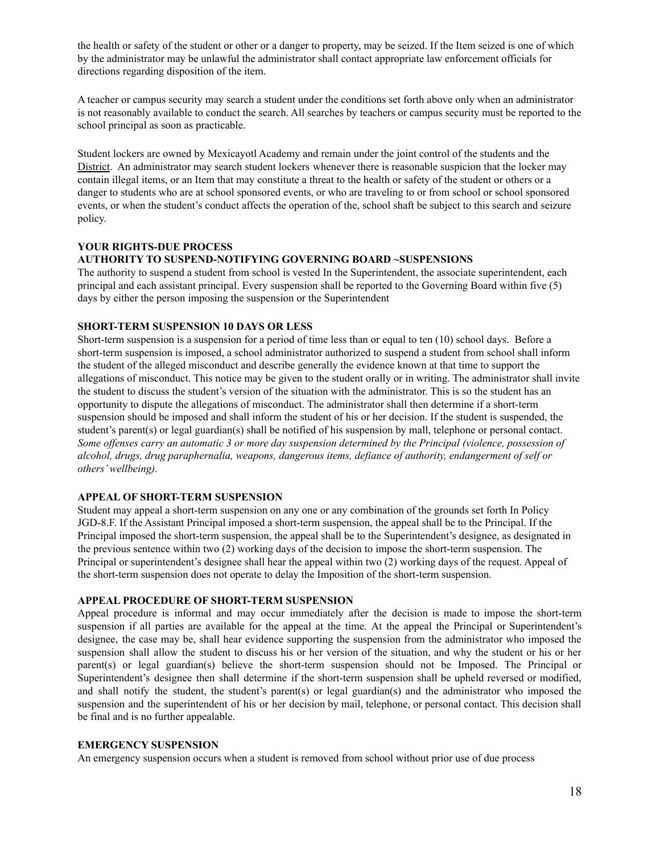the health or safety of the student or other or a danger to property, may be seized. If the Item seized is one of which by the administrator may be unlawful the administrator shall contact appropriate law enforcement officials for directions regarding disposition of the item.

A teacher or campus security may search a student under the conditions set forth above only when an administrator is not reasonably available to conduct the search. All searches by teachers or campus security must be reported to the school principal as soon as practicable.

Student lockers are owned by Mexicayotl Academy and remain under the joint control of the students and the District. An administrator may search student lockers whenever there is reasonable suspicion that the locker may contain illegal items, or an Item that may constitute a threat to the health or safety of the student or others or a danger to students who are at school sponsored events, or who are traveling to or from school or school sponsored events, or when the student's conduct affects the operation of the, school shaft be subject to this search and seizure policy.

#### **YOUR RIGHTS-DUE PROCESS**

#### **AUTHORITY TO SUSPEND-NOTIFYING GOVERNING BOARD ~SUSPENSIONS**

The authority to suspend a student from school is vested In the Superintendent, the associate superintendent, each principal and each assistant principal. Every suspension shall be reported to the Governing Board within five (5) days by either the person imposing the suspension or the Superintendent

#### **SHORT-TERM SUSPENSION 10 DAYS OR LESS**

Short-term suspension is a suspension for a period of time less than or equal to ten (10) school days. Before a short-term suspension is imposed, a school administrator authorized to suspend a student from school shall inform the student of the alleged misconduct and describe generally the evidence known at that time to support the allegations of misconduct. This notice may be given to the student orally or in writing. The administrator shall invite the student to discuss the student's version of the situation with the administrator. This is so the student has an opportunity to dispute the allegations of misconduct. The administrator shall then determine if a short-term suspension should be imposed and shall inform the student of his or her decision. If the student is suspended, the student's parent(s) or legal guardian(s) shall be notified of his suspension by mall, telephone or personal contact. Some offenses carry an automatic 3 or more day suspension determined by the Principal (violence, possession of *alcohol, drugs, drug paraphernalia, weapons, dangerous items, defiance of authority, endangerment of self or others'wellbeing).*

#### **APPEAL OF SHORT-TERM SUSPENSION**

Student may appeal a short-term suspension on any one or any combination of the grounds set forth In Policy JGD-8.F. If the Assistant Principal imposed a short-term suspension, the appeal shall be to the Principal. If the Principal imposed the short-term suspension, the appeal shall be to the Superintendent's designee, as designated in the previous sentence within two (2) working days of the decision to impose the short-term suspension. The Principal or superintendent's designee shall hear the appeal within two (2) working days of the request. Appeal of the short-term suspension does not operate to delay the Imposition of the short-term suspension.

#### **APPEAL PROCEDURE OF SHORT-TERM SUSPENSION**

Appeal procedure is informal and may occur immediately after the decision is made to impose the short-term suspension if all parties are available for the appeal at the time. At the appeal the Principal or Superintendent's designee, the case may be, shall hear evidence supporting the suspension from the administrator who imposed the suspension shall allow the student to discuss his or her version of the situation, and why the student or his or her parent(s) or legal guardian(s) believe the short-term suspension should not be Imposed. The Principal or Superintendent's designee then shall determine if the short-term suspension shall be upheld reversed or modified, and shall notify the student, the student's parent(s) or legal guardian(s) and the administrator who imposed the suspension and the superintendent of his or her decision by mail, telephone, or personal contact. This decision shall be final and is no further appealable.

#### **EMERGENCY SUSPENSION**

An emergency suspension occurs when a student is removed from school without prior use of due process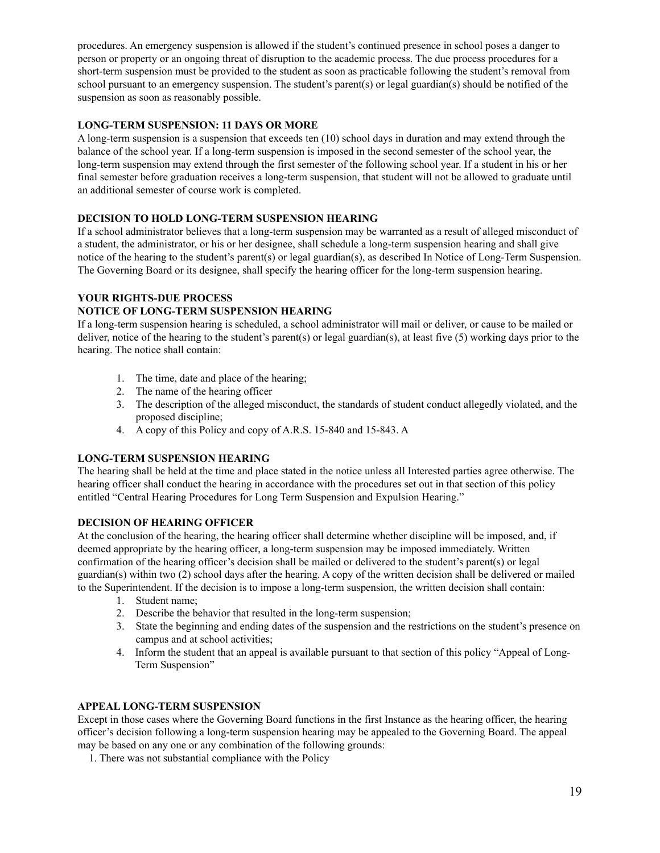procedures. An emergency suspension is allowed if the student's continued presence in school poses a danger to person or property or an ongoing threat of disruption to the academic process. The due process procedures for a short-term suspension must be provided to the student as soon as practicable following the student's removal from school pursuant to an emergency suspension. The student's parent(s) or legal guardian(s) should be notified of the suspension as soon as reasonably possible.

#### **LONG-TERM SUSPENSION: 11 DAYS OR MORE**

A long-term suspension is a suspension that exceeds ten (10) school days in duration and may extend through the balance of the school year. If a long-term suspension is imposed in the second semester of the school year, the long-term suspension may extend through the first semester of the following school year. If a student in his or her final semester before graduation receives a long-term suspension, that student will not be allowed to graduate until an additional semester of course work is completed.

#### **DECISION TO HOLD LONG-TERM SUSPENSION HEARING**

If a school administrator believes that a long-term suspension may be warranted as a result of alleged misconduct of a student, the administrator, or his or her designee, shall schedule a long-term suspension hearing and shall give notice of the hearing to the student's parent(s) or legal guardian(s), as described In Notice of Long-Term Suspension. The Governing Board or its designee, shall specify the hearing officer for the long-term suspension hearing.

#### **YOUR RIGHTS-DUE PROCESS**

#### **NOTICE OF LONG-TERM SUSPENSION HEARING**

If a long-term suspension hearing is scheduled, a school administrator will mail or deliver, or cause to be mailed or deliver, notice of the hearing to the student's parent(s) or legal guardian(s), at least five (5) working days prior to the hearing. The notice shall contain:

- 1. The time, date and place of the hearing;
- 2. The name of the hearing officer
- 3. The description of the alleged misconduct, the standards of student conduct allegedly violated, and the proposed discipline;
- 4. A copy of this Policy and copy of A.R.S. 15-840 and 15-843. A

#### **LONG-TERM SUSPENSION HEARING**

The hearing shall be held at the time and place stated in the notice unless all Interested parties agree otherwise. The hearing officer shall conduct the hearing in accordance with the procedures set out in that section of this policy entitled "Central Hearing Procedures for Long Term Suspension and Expulsion Hearing."

#### **DECISION OF HEARING OFFICER**

At the conclusion of the hearing, the hearing officer shall determine whether discipline will be imposed, and, if deemed appropriate by the hearing officer, a long-term suspension may be imposed immediately. Written confirmation of the hearing officer's decision shall be mailed or delivered to the student's parent(s) or legal guardian(s) within two (2) school days after the hearing. A copy of the written decision shall be delivered or mailed to the Superintendent. If the decision is to impose a long-term suspension, the written decision shall contain:

- 1. Student name;
- 2. Describe the behavior that resulted in the long-term suspension;
- 3. State the beginning and ending dates of the suspension and the restrictions on the student's presence on campus and at school activities;
- 4. Inform the student that an appeal is available pursuant to that section of this policy "Appeal of Long-Term Suspension"

#### **APPEAL LONG-TERM SUSPENSION**

Except in those cases where the Governing Board functions in the first Instance as the hearing officer, the hearing officer's decision following a long-term suspension hearing may be appealed to the Governing Board. The appeal may be based on any one or any combination of the following grounds:

1. There was not substantial compliance with the Policy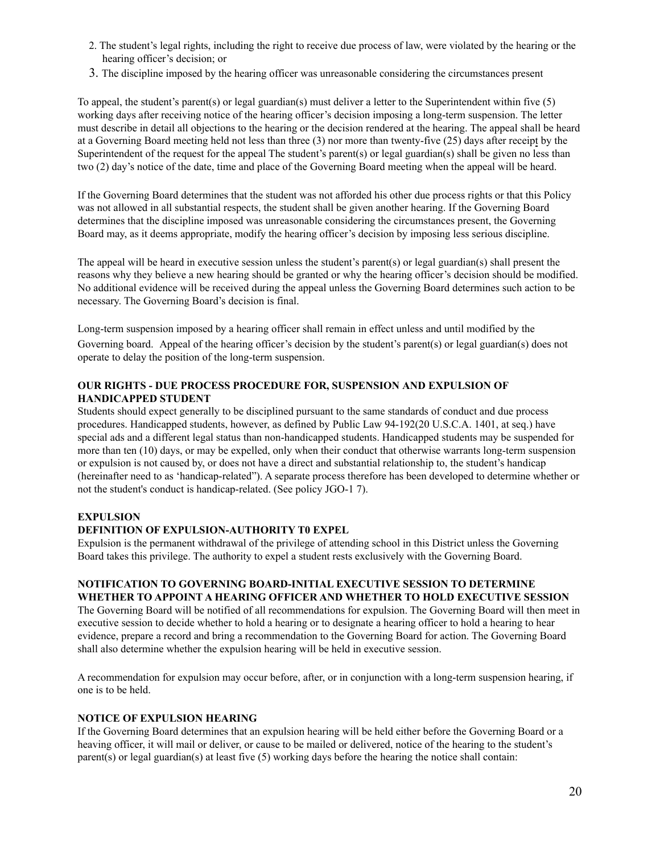- 2. The student's legal rights, including the right to receive due process of law, were violated by the hearing or the hearing officer's decision; or
- 3. The discipline imposed by the hearing officer was unreasonable considering the circumstances present

To appeal, the student's parent(s) or legal guardian(s) must deliver a letter to the Superintendent within five (5) working days after receiving notice of the hearing officer's decision imposing a long-term suspension. The letter must describe in detail all objections to the hearing or the decision rendered at the hearing. The appeal shall be heard at a Governing Board meeting held not less than three (3) nor more than twenty-five (25) days after receipt by the Superintendent of the request for the appeal The student's parent(s) or legal guardian(s) shall be given no less than two (2) day's notice of the date, time and place of the Governing Board meeting when the appeal will be heard.

If the Governing Board determines that the student was not afforded his other due process rights or that this Policy was not allowed in all substantial respects, the student shall be given another hearing. If the Governing Board determines that the discipline imposed was unreasonable considering the circumstances present, the Governing Board may, as it deems appropriate, modify the hearing officer's decision by imposing less serious discipline.

The appeal will be heard in executive session unless the student's parent(s) or legal guardian(s) shall present the reasons why they believe a new hearing should be granted or why the hearing officer's decision should be modified. No additional evidence will be received during the appeal unless the Governing Board determines such action to be necessary. The Governing Board's decision is final.

Long-term suspension imposed by a hearing officer shall remain in effect unless and until modified by the Governing board. Appeal of the hearing officer's decision by the student's parent(s) or legal guardian(s) does not operate to delay the position of the long-term suspension.

#### **OUR RIGHTS - DUE PROCESS PROCEDURE FOR, SUSPENSION AND EXPULSION OF HANDICAPPED STUDENT**

Students should expect generally to be disciplined pursuant to the same standards of conduct and due process procedures. Handicapped students, however, as defined by Public Law 94-192(20 U.S.C.A. 1401, at seq.) have special ads and a different legal status than non-handicapped students. Handicapped students may be suspended for more than ten (10) days, or may be expelled, only when their conduct that otherwise warrants long-term suspension or expulsion is not caused by, or does not have a direct and substantial relationship to, the student's handicap (hereinafter need to as 'handicap-related"). A separate process therefore has been developed to determine whether or not the student's conduct is handicap-related. (See policy JGO-1 7).

#### **EXPULSION**

#### **DEFINITION OF EXPULSION-AUTHORITY T0 EXPEL**

Expulsion is the permanent withdrawal of the privilege of attending school in this District unless the Governing Board takes this privilege. The authority to expel a student rests exclusively with the Governing Board.

#### **NOTIFICATION TO GOVERNING BOARD-INITIAL EXECUTIVE SESSION TO DETERMINE WHETHER TO APPOINT A HEARING OFFICER AND WHETHER TO HOLD EXECUTIVE SESSION**

The Governing Board will be notified of all recommendations for expulsion. The Governing Board will then meet in executive session to decide whether to hold a hearing or to designate a hearing officer to hold a hearing to hear evidence, prepare a record and bring a recommendation to the Governing Board for action. The Governing Board shall also determine whether the expulsion hearing will be held in executive session.

A recommendation for expulsion may occur before, after, or in conjunction with a long-term suspension hearing, if one is to be held.

#### **NOTICE OF EXPULSION HEARING**

If the Governing Board determines that an expulsion hearing will be held either before the Governing Board or a heaving officer, it will mail or deliver, or cause to be mailed or delivered, notice of the hearing to the student's parent(s) or legal guardian(s) at least five (5) working days before the hearing the notice shall contain: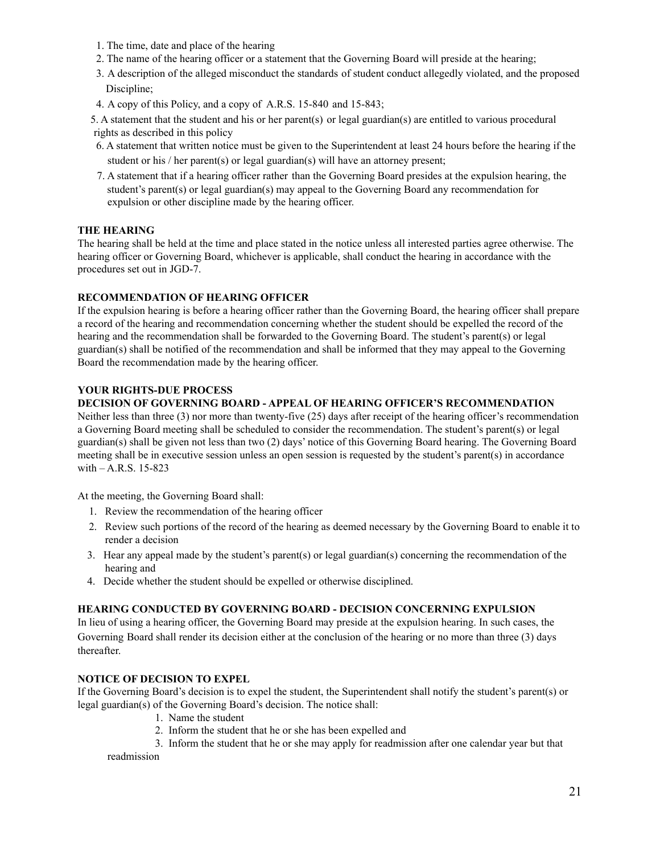- 1. The time, date and place of the hearing
- 2. The name of the hearing officer or a statement that the Governing Board will preside at the hearing;
- 3. A description of the alleged misconduct the standards of student conduct allegedly violated, and the proposed Discipline;
- 4. A copy of this Policy, and a copy of A.R.S. 15-840 and 15-843;
- 5. A statement that the student and his or her parent(s) or legal guardian(s) are entitled to various procedural rights as described in this policy
- 6. A statement that written notice must be given to the Superintendent at least 24 hours before the hearing if the student or his / her parent(s) or legal guardian(s) will have an attorney present;
- 7. A statement that if a hearing officer rather than the Governing Board presides at the expulsion hearing, the student's parent(s) or legal guardian(s) may appeal to the Governing Board any recommendation for expulsion or other discipline made by the hearing officer.

#### **THE HEARING**

The hearing shall be held at the time and place stated in the notice unless all interested parties agree otherwise. The hearing officer or Governing Board, whichever is applicable, shall conduct the hearing in accordance with the procedures set out in JGD-7.

#### **RECOMMENDATION OF HEARING OFFICER**

If the expulsion hearing is before a hearing officer rather than the Governing Board, the hearing officer shall prepare a record of the hearing and recommendation concerning whether the student should be expelled the record of the hearing and the recommendation shall be forwarded to the Governing Board. The student's parent(s) or legal guardian(s) shall be notified of the recommendation and shall be informed that they may appeal to the Governing Board the recommendation made by the hearing officer.

#### **YOUR RIGHTS-DUE PROCESS**

#### **DECISION OF GOVERNING BOARD - APPEAL OF HEARING OFFICER'S RECOMMENDATION**

Neither less than three (3) nor more than twenty-five (25) days after receipt of the hearing officer's recommendation a Governing Board meeting shall be scheduled to consider the recommendation. The student's parent(s) or legal guardian(s) shall be given not less than two (2) days' notice of this Governing Board hearing. The Governing Board meeting shall be in executive session unless an open session is requested by the student's parent(s) in accordance with – A.R.S. 15-823

At the meeting, the Governing Board shall:

- 1. Review the recommendation of the hearing officer
- 2. Review such portions of the record of the hearing as deemed necessary by the Governing Board to enable it to render a decision
- 3. Hear any appeal made by the student's parent(s) or legal guardian(s) concerning the recommendation of the hearing and
- 4. Decide whether the student should be expelled or otherwise disciplined.

#### **HEARING CONDUCTED BY GOVERNING BOARD - DECISION CONCERNING EXPULSION**

In lieu of using a hearing officer, the Governing Board may preside at the expulsion hearing. In such cases, the Governing Board shall render its decision either at the conclusion of the hearing or no more than three (3) days thereafter.

#### **NOTICE OF DECISION TO EXPEL**

If the Governing Board's decision is to expel the student, the Superintendent shall notify the student's parent(s) or legal guardian(s) of the Governing Board's decision. The notice shall:

- 1. Name the student
- 2. Inform the student that he or she has been expelled and
- 3. Inform the student that he or she may apply for readmission after one calendar year but that

readmission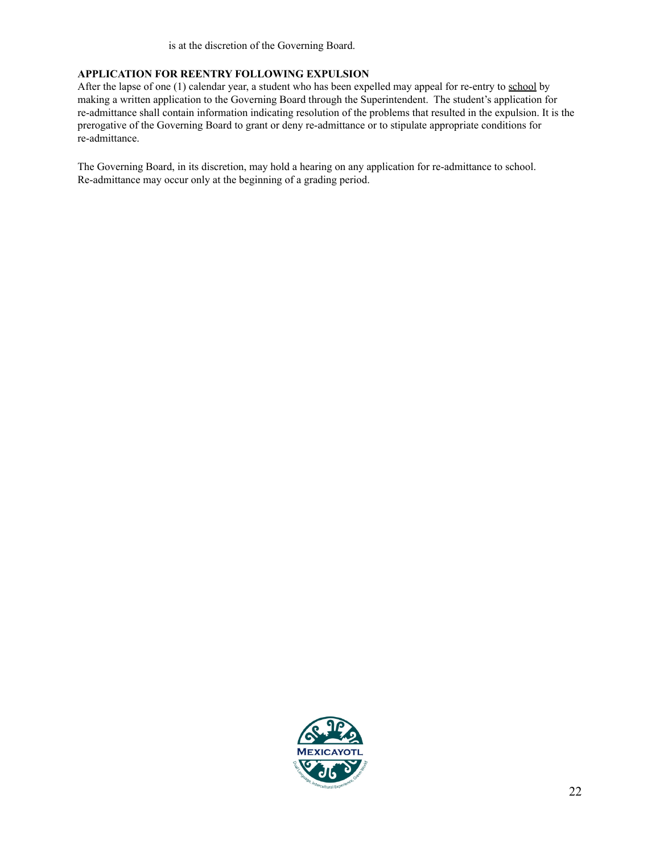is at the discretion of the Governing Board.

#### **APPLICATION FOR REENTRY FOLLOWING EXPULSION**

After the lapse of one (1) calendar year, a student who has been expelled may appeal for re-entry to school by making a written application to the Governing Board through the Superintendent. The student's application for re-admittance shall contain information indicating resolution of the problems that resulted in the expulsion. It is the prerogative of the Governing Board to grant or deny re-admittance or to stipulate appropriate conditions for re-admittance.

The Governing Board, in its discretion, may hold a hearing on any application for re-admittance to school. Re-admittance may occur only at the beginning of a grading period.